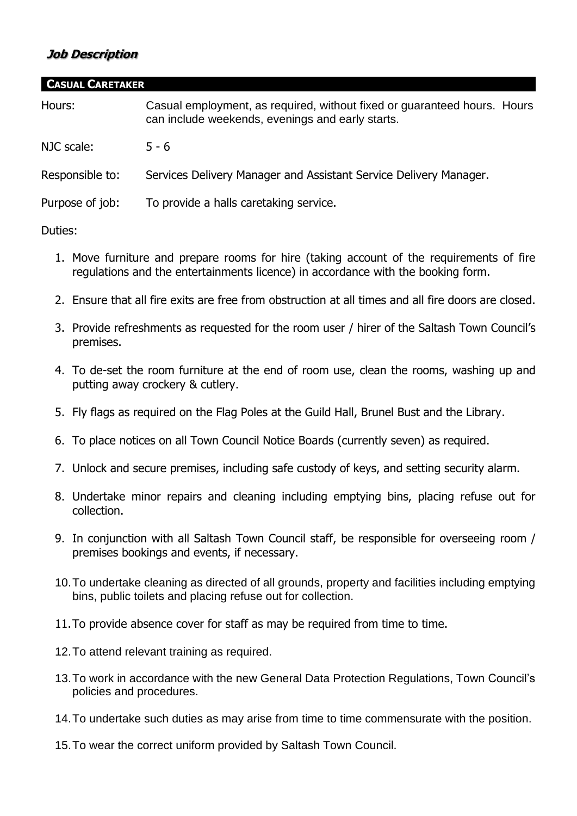## **Job Description**

| <b>CASUAL CARETAKER</b> |                                                                                                                              |
|-------------------------|------------------------------------------------------------------------------------------------------------------------------|
| Hours:                  | Casual employment, as required, without fixed or guaranteed hours. Hours<br>can include weekends, evenings and early starts. |
| NJC scale:              | $5 - 6$                                                                                                                      |
| Responsible to:         | Services Delivery Manager and Assistant Service Delivery Manager.                                                            |
| Purpose of job:         | To provide a halls caretaking service.                                                                                       |
|                         |                                                                                                                              |

## Duties:

- 1. Move furniture and prepare rooms for hire (taking account of the requirements of fire regulations and the entertainments licence) in accordance with the booking form.
- 2. Ensure that all fire exits are free from obstruction at all times and all fire doors are closed.
- 3. Provide refreshments as requested for the room user / hirer of the Saltash Town Council's premises.
- 4. To de-set the room furniture at the end of room use, clean the rooms, washing up and putting away crockery & cutlery.
- 5. Fly flags as required on the Flag Poles at the Guild Hall, Brunel Bust and the Library.
- 6. To place notices on all Town Council Notice Boards (currently seven) as required.
- 7. Unlock and secure premises, including safe custody of keys, and setting security alarm.
- 8. Undertake minor repairs and cleaning including emptying bins, placing refuse out for collection.
- 9. In conjunction with all Saltash Town Council staff, be responsible for overseeing room / premises bookings and events, if necessary.
- 10.To undertake cleaning as directed of all grounds, property and facilities including emptying bins, public toilets and placing refuse out for collection.
- 11.To provide absence cover for staff as may be required from time to time.
- 12.To attend relevant training as required.
- 13.To work in accordance with the new General Data Protection Regulations, Town Council's policies and procedures.
- 14.To undertake such duties as may arise from time to time commensurate with the position.
- 15.To wear the correct uniform provided by Saltash Town Council.